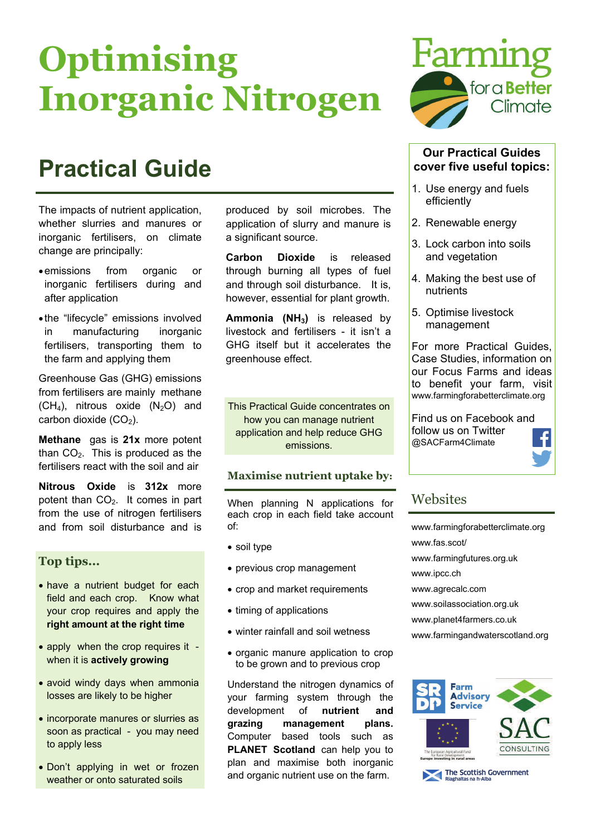# **Optimising Inorganic Nitrogen**

# **Practical Guide**

The impacts of nutrient application, whether slurries and manures or inorganic fertilisers, on climate change are principally:

- emissions from organic or inorganic fertilisers during and after application
- the "lifecycle" emissions involved in manufacturing inorganic fertilisers, transporting them to the farm and applying them

Greenhouse Gas (GHG) emissions from fertilisers are mainly methane  $(CH<sub>4</sub>)$ , nitrous oxide  $(N<sub>2</sub>O)$  and carbon dioxide  $(CO<sub>2</sub>)$ .

**Methane** gas is **21x** more potent than  $CO<sub>2</sub>$ . This is produced as the fertilisers react with the soil and air

**Nitrous Oxide** is **312x** more potent than  $CO<sub>2</sub>$ . It comes in part from the use of nitrogen fertilisers and from soil disturbance and is

### **Top tips...**

- have a nutrient budget for each field and each crop. Know what your crop requires and apply the **right amount at the right time**
- apply when the crop requires it when it is **actively growing**
- avoid windy days when ammonia losses are likely to be higher
- incorporate manures or slurries as soon as practical - you may need to apply less
- Don't applying in wet or frozen weather or onto saturated soils

produced by soil microbes. The application of slurry and manure is a significant source.

**Carbon Dioxide** is released through burning all types of fuel and through soil disturbance. It is, however, essential for plant growth.

Ammonia (NH<sub>3</sub>) is released by livestock and fertilisers - it isn't a GHG itself but it accelerates the greenhouse effect.

This Practical Guide concentrates on how you can manage nutrient application and help reduce GHG emissions.

### **Maximise nutrient uptake by:**

When planning N applications for each crop in each field take account of:

- soil type
- previous crop management
- crop and market requirements
- timing of applications
- winter rainfall and soil wetness
- organic manure application to crop to be grown and to previous crop

Understand the nitrogen dynamics of your farming system through the development of **nutrient and grazing management plans.**  Computer based tools such as **PLANET Scotland** can help you to plan and maximise both inorganic and organic nutrient use on the farm.



#### **Our Practical Guides cover five useful topics:**

- 1. Use energy and fuels efficiently
- 2. Renewable energy
- 3. Lock carbon into soils and vegetation
- 4. Making the best use of nutrients
- 5. Optimise livestock management

For more Practical Guides, Case Studies, information on our Focus Farms and ideas to benefit your farm, visit www.farmingforabetterclimate.org

Find us on Facebook and follow us on Twitter @SACFarm4Climate



# **Websites**

[www.farmingforabetterclimate.org](http://www.farmingforabetterclimate.org) www.fas.scot/ [www.farmingfutures.org.uk](http://www.farmingfutures.org.uk)  [www.ipcc.ch](http://www.ipcc.ch) [www.agrecalc.com](http://www.agrecalc.com) [www.soilassociation.org.uk](http://www.soilassociation.org.uk) [www.planet4farmers.co.uk](http://www.planet4farmers.co.uk)  [www.farmingandwaterscotland.org](http://www.farmingandwaterscotland.org)